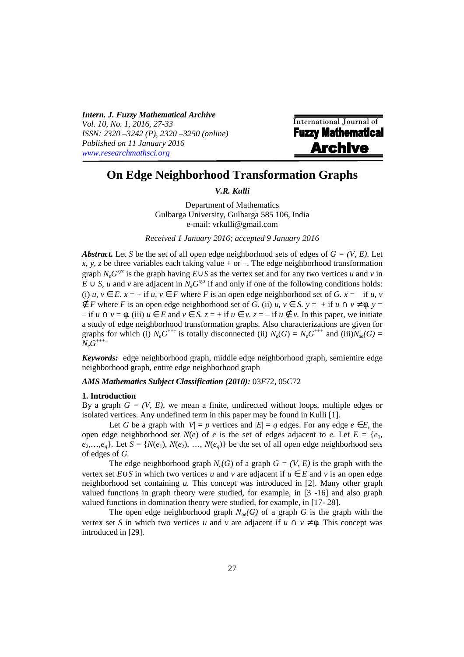*Intern. J. Fuzzy Mathematical Archive Vol. 10, No. 1, 2016, 27-33 ISSN: 2320 –3242 (P), 2320 –3250 (online) Published on 11 January 2016 www.researchmathsci.org*

International Journal of **Fuzzy Mathematical Archive** 

# **On Edge Neighborhood Transformation Graphs**

*V.R. Kulli* 

Department of Mathematics Gulbarga University, Gulbarga 585 106, India e-mail: vrkulli@gmail.com

*Received 1 January 2016; accepted 9 January 2016* 

*Abstract***.** Let *S* be the set of all open edge neighborhood sets of edges of  $G = (V, E)$ . Let *x*, *y*, *z* be three variables each taking value + or –. The edge neighborhood transformation graph  $N_eG^{xyz}$  is the graph having  $E \cup S$  as the vertex set and for any two vertices *u* and *v* in  $E \cup S$ , *u* and *v* are adjacent in  $N_e G^{xyz}$  if and only if one of the following conditions holds: (i)  $u, v \in E$ .  $x = +$  if  $u, v \in F$  where *F* is an open edge neighborhood set of *G*.  $x = -$  if  $u, v$  $\notin$  *F* where *F* is an open edge neighborhood set of *G*. (ii) *u*, *v* ∈ *S*. *y* = + if *u* ∩ *v* ≠  $\phi$ . *y* =  $-$  if *u*  $\cap$  *v* =  $\phi$ . (iii) *u* ∈ *E* and *v* ∈ *S*. *z* = + if *u* ∈ *v*. *z* = − if *u* ∉ *v*. In this paper, we initiate a study of edge neighborhood transformation graphs. Also characterizations are given for graphs for which (i)  $N_eG^{+++}$  is totally disconnected (ii)  $N_e(G) = N_eG^{+++}$  and (iii) $N_{se}(G) =$  $N_e\tilde{G}^{+++}$ 

*Keywords:* edge neighborhood graph, middle edge neighborhood graph, semientire edge neighborhood graph, entire edge neighborhood graph

## *AMS Mathematics Subject Classification (2010):* 03*E*72, 05*C*72

#### **1. Introduction**

i

By a graph  $G = (V, E)$ , we mean a finite, undirected without loops, multiple edges or isolated vertices. Any undefined term in this paper may be found in Kulli [1].

Let *G* be a graph with  $|V| = p$  vertices and  $|E| = q$  edges. For any edge  $e \in E$ , the open edge neighborhood set *N*(*e*) of *e* is the set of edges adjacent to *e*. Let  $E = \{e_1, e_2, \ldots, e_k\}$  $e_2, \ldots, e_a$ . Let  $S = \{N(e_1), N(e_2), \ldots, N(e_a)\}$  be the set of all open edge neighborhood sets of edges of *G.*

The edge neighborhood graph  $N_e(G)$  of a graph  $G = (V, E)$  is the graph with the vertex set *E*∪*S* in which two vertices *u* and *v* are adjacent if *u* ∈ *E* and *v* is an open edge neighborhood set containing *u.* This concept was introduced in [2]. Many other graph valued functions in graph theory were studied, for example, in [3 -16] and also graph valued functions in domination theory were studied, for example, in [17- 28].

The open edge neighborhood graph  $N_{oe}(G)$  of a graph *G* is the graph with the vertex set *S* in which two vertices *u* and *v* are adjacent if  $u \cap v \neq \emptyset$ . This concept was introduced in [29].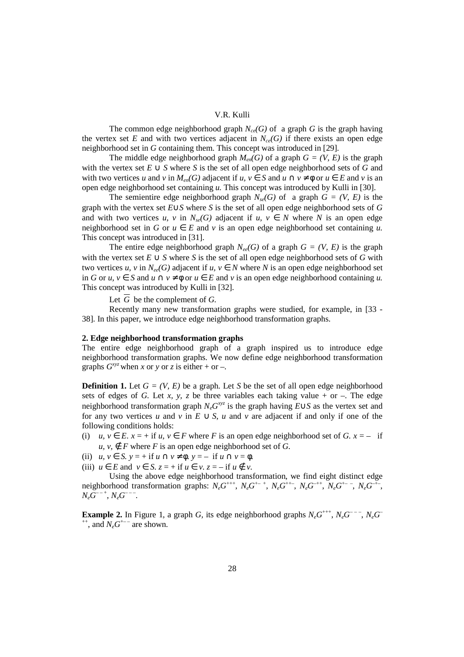#### V.R. Kulli

The common edge neighborhood graph  $N_{c}(\mathcal{G})$  of a graph  $\mathcal{G}$  is the graph having the vertex set E and with two vertices adjacent in  $N_{ce}(G)$  if there exists an open edge neighborhood set in *G* containing them. This concept was introduced in [29].

The middle edge neighborhood graph  $M_{en}(G)$  of a graph  $G = (V, E)$  is the graph with the vertex set *E* ∪ *S* where *S* is the set of all open edge neighborhood sets of *G* and with two vertices *u* and *v* in  $M_{en}(G)$  adjacent if  $u, v \in S$  and  $u \cap v \neq \emptyset$  or  $u \in E$  and *v* is an open edge neighborhood set containing *u.* This concept was introduced by Kulli in [30].

The semientire edge neighborhood graph  $N_{se}(G)$  of a graph  $G = (V, E)$  is the graph with the vertex set *E*∪*S* where *S* is the set of all open edge neighborhood sets of *G*  and with two vertices *u, v* in  $N_{se}(G)$  adjacent if *u, v*  $\in$  *N* where *N* is an open edge neighborhood set in *G* or  $u \in E$  and *v* is an open edge neighborhood set containing *u*. This concept was introduced in [31].

The entire edge neighborhood graph  $N_{ee}(G)$  of a graph  $G = (V, E)$  is the graph with the vertex set *E* ∪ *S* where *S* is the set of all open edge neighborhood sets of *G* with two vertices *u, v* in  $N_{ee}(G)$  adjacent if *u, v*  $\in$  *N* where *N* is an open edge neighborhood set in *G* or *u, v*  $\in$  *S* and *u*  $\cap$  *v*  $\neq$   $\phi$  or *u*  $\in$  *E* and *v* is an open edge neighborhood containing *u*. This concept was introduced by Kulli in [32].

Let  $\overline{G}$  be the complement of  $G$ .

 Recently many new transformation graphs were studied, for example, in [33 - 38]. In this paper, we introduce edge neighborhood transformation graphs.

#### **2. Edge neighborhood transformation graphs**

The entire edge neighborhood graph of a graph inspired us to introduce edge neighborhood transformation graphs. We now define edge neighborhood transformation graphs  $G^{xyz}$  when *x* or *y* or *z* is either + or –.

**Definition 1.** Let  $G = (V, E)$  be a graph. Let S be the set of all open edge neighborhood sets of edges of *G*. Let *x*, *y*, *z* be three variables each taking value + or –. The edge neighborhood transformation graph  $N_e G^{xyz}$  is the graph having  $E \cup S$  as the vertex set and for any two vertices *u* and *v* in  $E \cup S$ , *u* and *v* are adjacent if and only if one of the following conditions holds:

- (i)  $u, v \in E$ .  $x = +$  if  $u, v \in F$  where F is an open edge neighborhood set of G.  $x = -$  if *u*, *v*,  $∈$  *F* where *F* is an open edge neighborhood set of *G*.
- (ii)  $u, v \in S$ ,  $y = +$  if  $u \cap v \neq \phi$ ,  $y = -$  if  $u \cap v = \phi$ .
- (iii)  $u \in E$  and  $v \in S$ .  $z = +$  if  $u \in v$ .  $z = -$  if  $u \notin v$ .

 Using the above edge neighborhood transformation, we find eight distinct edge neighborhood transformation graphs:  $N_eG^{+++}$ ,  $N_eG^{++-}$ ,  $N_eG^{++-}$ ,  $N_eG^{++}$ ,  $N_eG^{+-}$ ,  $N_eG^{+-}$ ,  $N_eG^{--+}, N_eG^{---}.$ 

**Example 2.** In Figure 1, a graph *G*, its edge neighborhood graphs  $N_eG^{+++}$ ,  $N_eG^{--}$ ,  $N_eG^-$ <sup>++</sup>, and  $N_eG^{+--}$  are shown.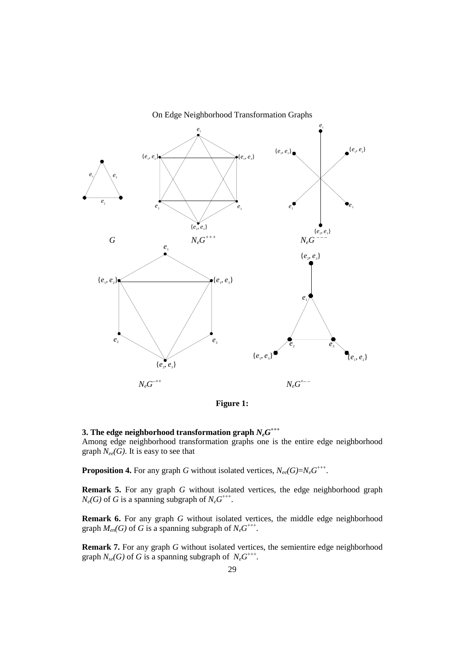



## $3.$  The edge neighborhood transformation graph  $N_eG^{++}$

Among edge neighborhood transformation graphs one is the entire edge neighborhood graph *Nee(G)*. It is easy to see that

**Proposition 4.** For any graph G without isolated vertices,  $N_{ee}(G)=N_eG^{++}$ .

**Remark 5.** For any graph *G* without isolated vertices, the edge neighborhood graph  $N_e(G)$  of *G* is a spanning subgraph of  $N_eG^{++}$ .

**Remark 6.** For any graph *G* without isolated vertices, the middle edge neighborhood graph  $M_{en}(G)$  of G is a spanning subgraph of  $N_eG^{+++}$ .

**Remark 7.** For any graph *G* without isolated vertices, the semientire edge neighborhood graph  $N_{se}(G)$  of G is a spanning subgraph of  $N_eG^{+++}$ .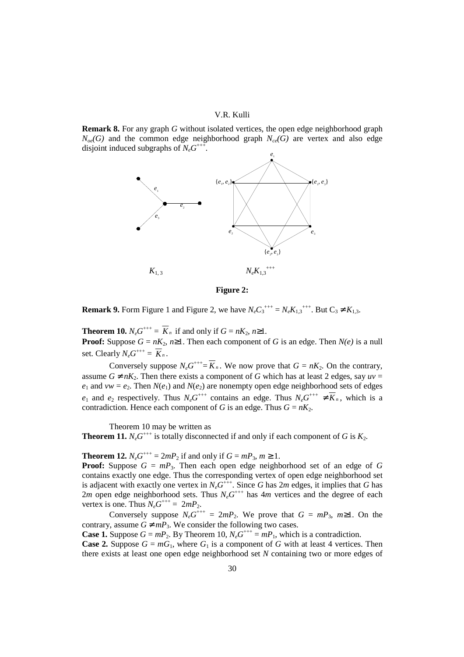#### V.R. Kulli

**Remark 8.** For any graph *G* without isolated vertices, the open edge neighborhood graph  $N_{oe}(G)$  and the common edge neighborhood graph  $N_{ce}(G)$  are vertex and also edge disjoint induced subgraphs of  $N_eG^{++}$ .



**Figure 2:** 

**Remark 9.** Form Figure 1 and Figure 2, we have  $N_eC_3^{+++} = N_eK_{1,3}^{+++}$ . But  $C_3 \neq K_{1,3}$ .

**Theorem 10.**  $N_e G^{+++} = \overline{K}_n$  if and only if  $G = nK_2, n \ge 1$ .

**Proof:** Suppose  $G = nK_2$ ,  $n \ge 1$ . Then each component of G is an edge. Then  $N(e)$  is a null set. Clearly  $N_eG^{+++} = \overline{K}_n$ .

Conversely suppose  $N_e G^{+++} = \overline{K}_n$ . We now prove that  $G = nK_2$ . On the contrary, assume  $G \neq nK_2$ . Then there exists a component of G which has at least 2 edges, say  $uv =$  $e_1$  and  $vw = e_2$ . Then  $N(e_1)$  and  $N(e_2)$  are nonempty open edge neighborhood sets of edges *e*<sub>1</sub> and *e*<sub>2</sub> respectively. Thus  $N_eG^{+++}$  contains an edge. Thus  $N_eG^{+++} \neq \overline{K}_n$ , which is a contradiction. Hence each component of *G* is an edge. Thus  $G = nK_2$ .

Theorem 10 may be written as

**Theorem 11.**  $N_e G^{++}$  is totally disconnected if and only if each component of G is  $K_2$ .

**Theorem 12.**  $N_e G^{+++} = 2mP_2$  if and only if  $G = mP_3$ ,  $m \ge 1$ .

**Proof:** Suppose  $G = mP_3$ . Then each open edge neighborhood set of an edge of G contains exactly one edge. Thus the corresponding vertex of open edge neighborhood set is adjacent with exactly one vertex in  $N_eG^{\dagger++}$ . Since *G* has 2*m* edges, it implies that *G* has 2*m* open edge neighborhood sets. Thus  $N_eG^{+++}$  has 4*m* vertices and the degree of each vertex is one. Thus  $N_eG^{+++} = 2mP_2$ .

Conversely suppose  $N_eG^{++} = 2mP_2$ . We prove that  $G = mP_3$ ,  $m \ge 1$ . On the contrary, assume  $G \neq mP_3$ . We consider the following two cases.

**Case 1.** Suppose  $G = mP_2$ . By Theorem 10,  $N_eG^{+++} = mP_1$ , which is a contradiction.

**Case 2.** Suppose  $G = mG_1$ , where  $G_1$  is a component of G with at least 4 vertices. Then there exists at least one open edge neighborhood set *N* containing two or more edges of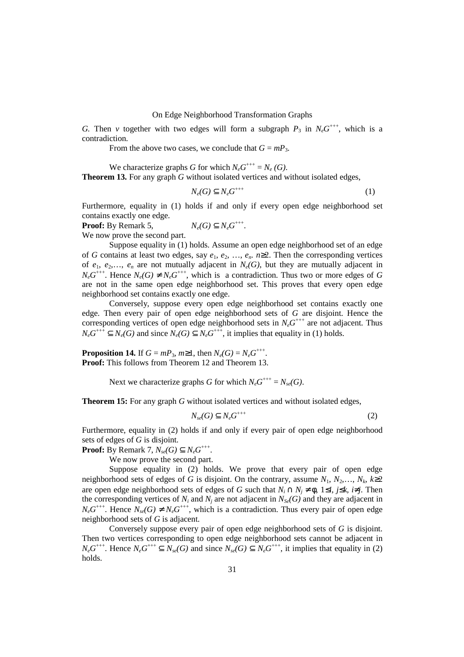#### On Edge Neighborhood Transformation Graphs

*G*. Then *v* together with two edges will form a subgraph  $P_3$  in  $N_eG^{+++}$ , which is a contradiction.

From the above two cases, we conclude that  $G = mP_3$ .

We characterize graphs *G* for which  $N_eG^{+++}=N_e(G)$ . **Theorem 13.** For any graph *G* without isolated vertices and without isolated edges,

$$
N_e(G) \subseteq N_e G^{++}
$$
 (1)

Furthermore, equality in (1) holds if and only if every open edge neighborhood set contains exactly one edge.

**Proof:** By Remark 5, +++ .

We now prove the second part.

 Suppose equality in (1) holds. Assume an open edge neighborhood set of an edge of *G* contains at least two edges, say  $e_1, e_2, \ldots, e_n$ .  $n \ge 2$ . Then the corresponding vertices of  $e_1, e_2,..., e_n$  are not mutually adjacent in  $N_e(G)$ , but they are mutually adjacent in  $N_eG^{++}$ . Hence  $N_e(G) \neq N_eG^{++}$ , which is a contradiction. Thus two or more edges of G are not in the same open edge neighborhood set. This proves that every open edge neighborhood set contains exactly one edge.

 Conversely, suppose every open edge neighborhood set contains exactly one edge. Then every pair of open edge neighborhood sets of *G* are disjoint. Hence the corresponding vertices of open edge neighborhood sets in  $N_eG^{++}$  are not adjacent. Thus  $N_e G^{++} \subseteq N_e(G)$  and since  $N_e(G) \subseteq N_e G^{++}$ , it implies that equality in (1) holds.

**Proposition 14.** If  $G = mP_3$ ,  $m \ge 1$ , then  $N_e(G) = N_e G^{+++}$ . **Proof:** This follows from Theorem 12 and Theorem 13.

Next we characterize graphs *G* for which  $N_eG^{+++} = N_{se}(G)$ .

**Theorem 15:** For any graph *G* without isolated vertices and without isolated edges,

$$
N_{se}(G) \subseteq N_e G^{++}
$$
 (2)

Furthermore, equality in (2) holds if and only if every pair of open edge neighborhood sets of edges of *G* is disjoint.

**Proof:** By Remark 7,  $N_{se}(G) \subseteq N_eG^{++}$ .

We now prove the second part.

Suppose equality in (2) holds. We prove that every pair of open edge neighborhood sets of edges of *G* is disjoint. On the contrary, assume  $N_1, N_2, \ldots, N_k, k \ge 2$ are open edge neighborhood sets of edges of *G* such that  $N_i \cap N_j \neq \emptyset$ ,  $1 \leq i$ ,  $j \leq k$ ,  $i \neq j$ . Then the corresponding vertices of  $N_i$  and  $N_j$  are not adjacent in  $N_{S}$ <sub>*e*</sub> $(G)$  and they are adjacent in  $N_eG^{++}$ . Hence  $N_{se}(G) \neq N_eG^{++}$ , which is a contradiction. Thus every pair of open edge neighborhood sets of *G* is adjacent.

 Conversely suppose every pair of open edge neighborhood sets of *G* is disjoint. Then two vertices corresponding to open edge neighborhood sets cannot be adjacent in  $N_e G^{+++}$ . Hence  $N_e G^{+++} \subseteq N_{se}(G)$  and since  $N_{se}(G) \subseteq N_e G^{+++}$ , it implies that equality in (2) holds.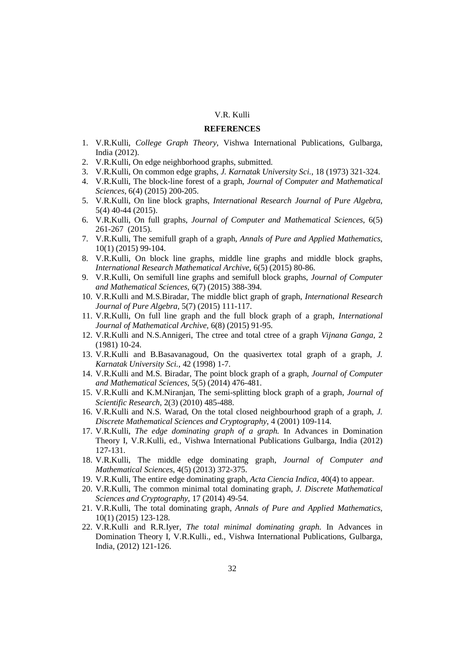## V.R. Kulli

### **REFERENCES**

- 1. V.R.Kulli, *College Graph Theory*, Vishwa International Publications, Gulbarga, India (2012).
- 2. V.R.Kulli, On edge neighborhood graphs, submitted.
- 3. V.R.Kulli, On common edge graphs, *J. Karnatak University Sci.*, 18 (1973) 321-324.
- 4. V.R.Kulli, The block-line forest of a graph, *Journal of Computer and Mathematical Sciences*, 6(4) (2015) 200-205.
- 5. V.R.Kulli, On line block graphs, *International Research Journal of Pure Algebra*, 5(4) 40-44 (2015).
- 6. V.R.Kulli, On full graphs, *Journal of Computer and Mathematical Sciences*, 6(5) 261-267 (2015).
- 7. V.R.Kulli, The semifull graph of a graph, *Annals of Pure and Applied Mathematics*, 10(1) (2015) 99-104.
- 8. V.R.Kulli, On block line graphs, middle line graphs and middle block graphs, *International Research Mathematical Archive*, 6(5) (2015) 80-86.
- 9. V.R.Kulli, On semifull line graphs and semifull block graphs, *Journal of Computer and Mathematical Sciences*, 6(7) (2015) 388-394.
- 10. V.R.Kulli and M.S.Biradar, The middle blict graph of graph, *International Research Journal of Pure Algebra,* 5(7) (2015) 111-117.
- 11. V.R.Kulli, On full line graph and the full block graph of a graph, *International Journal of Mathematical Archive,* 6(8) (2015) 91-95.
- 12. V.R.Kulli and N.S.Annigeri, The ctree and total ctree of a graph *Vijnana Ganga*, 2 (1981) 10-24.
- 13. V.R.Kulli and B.Basavanagoud, On the quasivertex total graph of a graph, *J. Karnatak University Sci.*, 42 (1998) 1-7.
- 14. V.R.Kulli and M.S. Biradar, The point block graph of a graph, *Journal of Computer and Mathematical Sciences*, 5(5) (2014) 476-481.
- 15. V.R.Kulli and K.M.Niranjan, The semi-splitting block graph of a graph, *Journal of Scientific Research*, 2(3) (2010) 485-488.
- 16. V.R.Kulli and N.S. Warad, On the total closed neighbourhood graph of a graph, *J. Discrete Mathematical Sciences and Cryptography*, 4 (2001) 109-114.
- 17. V.R.Kulli, *The edge dominating graph of a graph.* In Advances in Domination Theory I, V.R.Kulli, ed., Vishwa International Publications Gulbarga, India (2012) 127-131.
- 18. V.R.Kulli, The middle edge dominating graph, *Journal of Computer and Mathematical Sciences*, 4(5) (2013) 372-375.
- 19. V.R.Kulli, The entire edge dominating graph, *Acta Ciencia Indica*, 40(4) to appear.
- 20. V.R.Kulli, The common minimal total dominating graph, *J. Discrete Mathematical Sciences and Cryptography*, 17 (2014) 49-54.
- 21. V.R.Kulli, The total dominating graph, *Annals of Pure and Applied Mathematics*, 10(1) (2015) 123-128.
- 22. V.R.Kulli and R.R.Iyer, *The total minimal dominating graph*. In Advances in Domination Theory I, V.R.Kulli., ed., Vishwa International Publications, Gulbarga, India, (2012) 121-126.